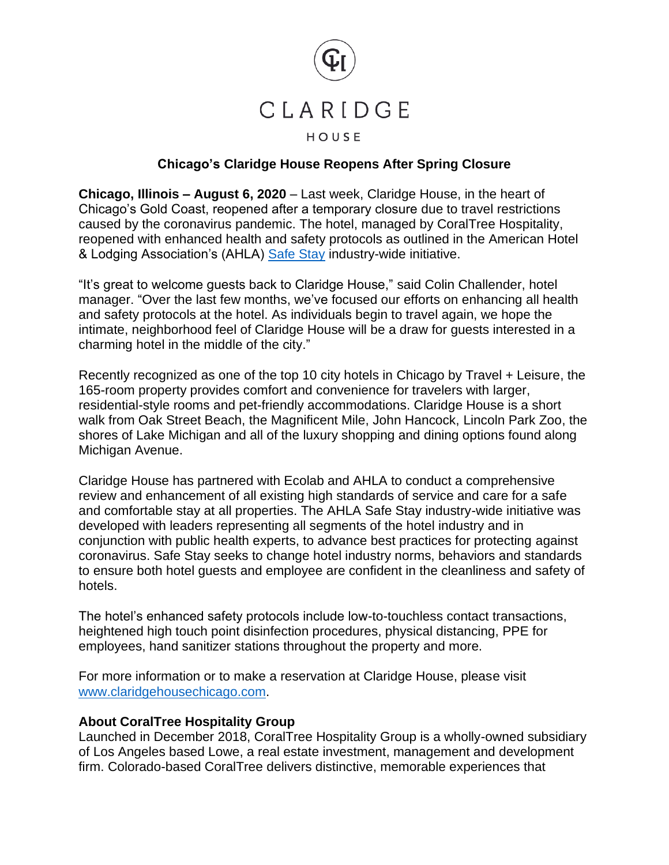

## **Chicago's Claridge House Reopens After Spring Closure**

**Chicago, Illinois – August 6, 2020** – Last week, Claridge House, in the heart of Chicago's Gold Coast, reopened after a temporary closure due to travel restrictions caused by the coronavirus pandemic. The hotel, managed by CoralTree Hospitality, reopened with enhanced health and safety protocols as outlined in the American Hotel & Lodging Association's (AHLA) [Safe Stay](https://www.ahla.com/press-release/ahla-launches-safe-stay-enhanced-industry-wide-hotel-cleaning-standards) industry-wide initiative.

"It's great to welcome guests back to Claridge House," said Colin Challender, hotel manager. "Over the last few months, we've focused our efforts on enhancing all health and safety protocols at the hotel. As individuals begin to travel again, we hope the intimate, neighborhood feel of Claridge House will be a draw for guests interested in a charming hotel in the middle of the city."

Recently recognized as one of the top 10 city hotels in Chicago by Travel + Leisure, the 165-room property provides comfort and convenience for travelers with larger, residential-style rooms and pet-friendly accommodations. Claridge House is a short walk from Oak Street Beach, the Magnificent Mile, John Hancock, Lincoln Park Zoo, the shores of Lake Michigan and all of the luxury shopping and dining options found along Michigan Avenue.

Claridge House has partnered with Ecolab and AHLA to conduct a comprehensive review and enhancement of all existing high standards of service and care for a safe and comfortable stay at all properties. The AHLA Safe Stay industry-wide initiative was developed with leaders representing all segments of the hotel industry and in conjunction with public health experts, to advance best practices for protecting against coronavirus. Safe Stay seeks to change hotel industry norms, behaviors and standards to ensure both hotel guests and employee are confident in the cleanliness and safety of hotels.

The hotel's enhanced safety protocols include low-to-touchless contact transactions, heightened high touch point disinfection procedures, physical distancing, PPE for employees, hand sanitizer stations throughout the property and more.

For more information or to make a reservation at Claridge House, please visit [www.claridgehousechicago.com.](http://www.claridgehousechicago.com/)

## **About CoralTree Hospitality Group**

Launched in December 2018, CoralTree Hospitality Group is a wholly-owned subsidiary of Los Angeles based Lowe, a real estate investment, management and development firm. Colorado-based CoralTree delivers distinctive, memorable experiences that